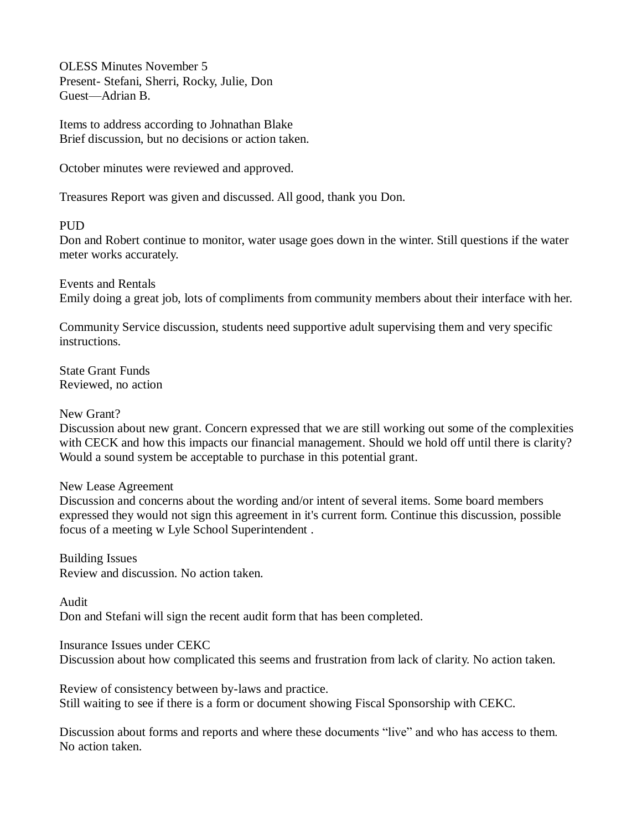OLESS Minutes November 5 Present- Stefani, Sherri, Rocky, Julie, Don Guest—Adrian B.

Items to address according to Johnathan Blake Brief discussion, but no decisions or action taken.

October minutes were reviewed and approved.

Treasures Report was given and discussed. All good, thank you Don.

## PUD

Don and Robert continue to monitor, water usage goes down in the winter. Still questions if the water meter works accurately.

Events and Rentals Emily doing a great job, lots of compliments from community members about their interface with her.

Community Service discussion, students need supportive adult supervising them and very specific instructions.

State Grant Funds Reviewed, no action

New Grant?

Discussion about new grant. Concern expressed that we are still working out some of the complexities with CECK and how this impacts our financial management. Should we hold off until there is clarity? Would a sound system be acceptable to purchase in this potential grant.

## New Lease Agreement

Discussion and concerns about the wording and/or intent of several items. Some board members expressed they would not sign this agreement in it's current form. Continue this discussion, possible focus of a meeting w Lyle School Superintendent .

Building Issues Review and discussion. No action taken.

Audit Don and Stefani will sign the recent audit form that has been completed.

Insurance Issues under CEKC Discussion about how complicated this seems and frustration from lack of clarity. No action taken.

Review of consistency between by-laws and practice. Still waiting to see if there is a form or document showing Fiscal Sponsorship with CEKC.

Discussion about forms and reports and where these documents "live" and who has access to them. No action taken.